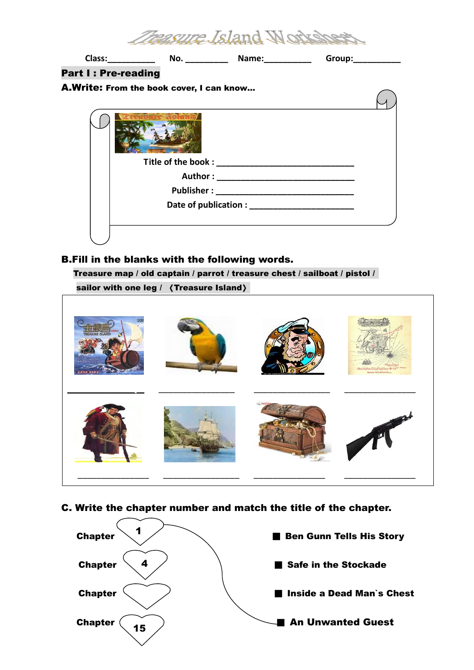|                            |                                          | Group: |
|----------------------------|------------------------------------------|--------|
| <b>Part I: Pre-reading</b> |                                          |        |
|                            | A.Write: From the book cover, I can know |        |
|                            |                                          |        |
|                            |                                          |        |
|                            |                                          |        |
|                            |                                          |        |
|                            |                                          |        |
|                            |                                          |        |

#### B.Fill in the blanks with the following words.

Treasure map / old captain / parrot / treasure chest / sailboat / pistol / 

sailor with one leg / 《Treasure Island》



C. Write the chapter number and match the title of the chapter.

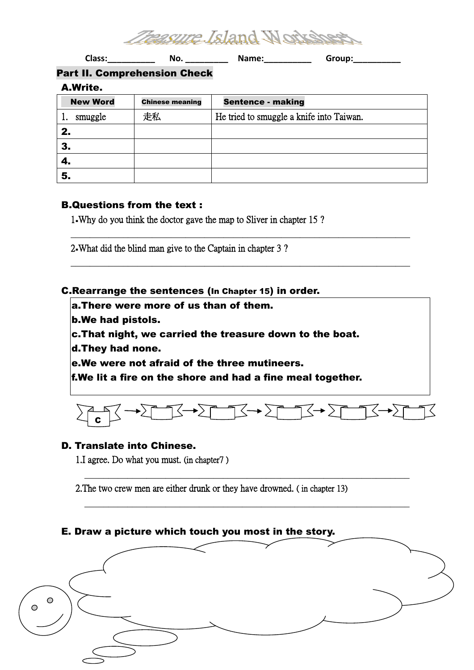

Class:\_\_\_\_\_\_\_\_\_\_\_\_\_\_ No. \_\_\_\_\_\_\_\_\_\_\_ Name:\_\_\_\_\_\_\_\_\_\_\_\_\_ Group:\_\_\_\_\_\_\_\_\_\_\_\_\_\_\_\_\_\_\_

## Part II. Comprehension Check

A.Write.

| <b>New Word</b> | <b>Chinese meaning</b> | <b>Sentence - making</b>                 |
|-----------------|------------------------|------------------------------------------|
| smuggle         | 走私                     | He tried to smuggle a knife into Taiwan. |
| 2.              |                        |                                          |
| 3.              |                        |                                          |
| 4.              |                        |                                          |
| 5.              |                        |                                          |

 $\_$  , and the set of the set of the set of the set of the set of the set of the set of the set of the set of the set of the set of the set of the set of the set of the set of the set of the set of the set of the set of th

 $\_$  , and the set of the set of the set of the set of the set of the set of the set of the set of the set of the set of the set of the set of the set of the set of the set of the set of the set of the set of the set of th

### B.Questions from the text :

1.Why do you think the doctor gave the map to Sliver in chapter 15 ?

2.What did the blind man give to the Captain in chapter 3 ?

### C.Rearrange the sentences (In Chapter 15) in order.

- a.There were more of us than of them.
- b.We had pistols.
- c.That night, we carried the treasure down to the boat.
- d.They had none.
- e.We were not afraid of the three mutineers.

f.We lit a fire on the shore and had a fine meal together.



\_\_\_\_\_\_\_\_\_\_\_\_\_\_\_\_\_\_\_\_\_\_\_\_\_\_\_\_\_\_\_\_\_\_\_\_\_\_\_\_\_\_\_\_\_\_\_\_\_\_\_\_\_\_\_\_\_\_\_\_\_\_\_\_\_\_\_\_

\_\_\_\_\_\_\_\_\_\_\_\_\_\_\_\_\_\_\_\_\_\_\_\_\_\_\_\_\_\_\_\_\_\_\_\_\_\_\_\_\_\_\_\_\_\_\_\_\_\_\_\_\_\_\_\_\_\_\_\_\_\_\_\_\_\_\_\_

# **D. Translate into Chinese.**

1.I agree. Do what you must. (in chapter7 )

2.The two crew men are either drunk or they have drowned. ( in chapter 13)

### E. Draw a picture which touch you most in the story.

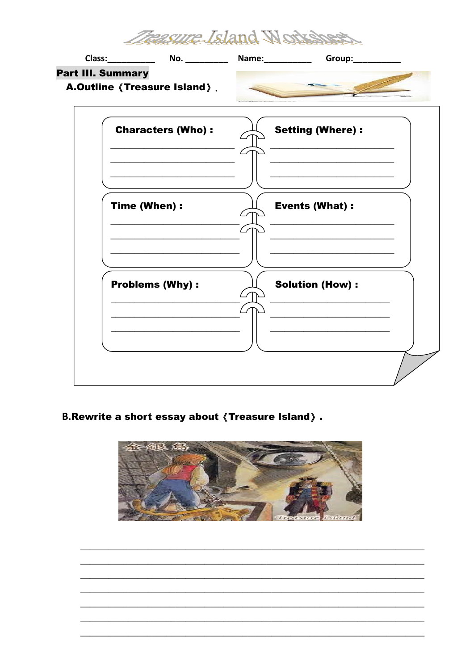

## **B.Rewrite a short essay about (Treasure Island).**